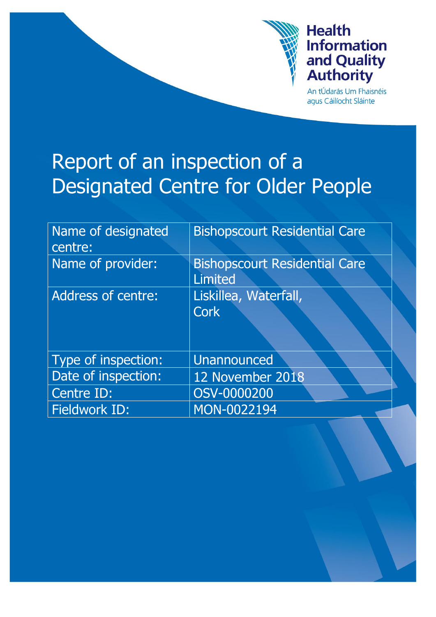

# **Health Information** and Quality<br>Authority

An tÚdarás Um Fhaisnéis aqus Cáilíocht Sláinte

# Report of an inspection of a Designated Centre for Older People

| Name of designated<br>centre: | <b>Bishopscourt Residential Care</b>                   |
|-------------------------------|--------------------------------------------------------|
| Name of provider:             | <b>Bishopscourt Residential Care</b><br><b>Limited</b> |
| <b>Address of centre:</b>     | Liskillea, Waterfall,                                  |
|                               | <b>Cork</b>                                            |
|                               |                                                        |
| Type of inspection:           | <b>Unannounced</b>                                     |
| Date of inspection:           | 12 November 2018                                       |
| Centre ID:                    | OSV-0000200                                            |
| <b>Fieldwork ID:</b>          | MON-0022194                                            |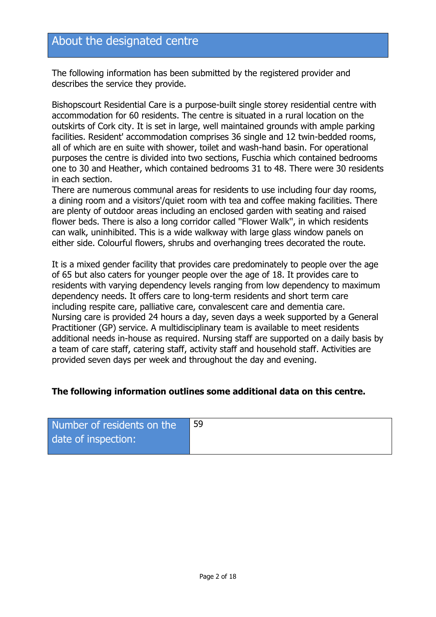# About the designated centre

The following information has been submitted by the registered provider and describes the service they provide.

Bishopscourt Residential Care is a purpose-built single storey residential centre with accommodation for 60 residents. The centre is situated in a rural location on the outskirts of Cork city. It is set in large, well maintained grounds with ample parking facilities. Resident' accommodation comprises 36 single and 12 twin-bedded rooms, all of which are en suite with shower, toilet and wash-hand basin. For operational purposes the centre is divided into two sections, Fuschia which contained bedrooms one to 30 and Heather, which contained bedrooms 31 to 48. There were 30 residents in each section.

There are numerous communal areas for residents to use including four day rooms, a dining room and a visitors'/quiet room with tea and coffee making facilities. There are plenty of outdoor areas including an enclosed garden with seating and raised flower beds. There is also a long corridor called ''Flower Walk'', in which residents can walk, uninhibited. This is a wide walkway with large glass window panels on either side. Colourful flowers, shrubs and overhanging trees decorated the route.

It is a mixed gender facility that provides care predominately to people over the age of 65 but also caters for younger people over the age of 18. It provides care to residents with varying dependency levels ranging from low dependency to maximum dependency needs. It offers care to long-term residents and short term care including respite care, palliative care, convalescent care and dementia care. Nursing care is provided 24 hours a day, seven days a week supported by a General Practitioner (GP) service. A multidisciplinary team is available to meet residents additional needs in-house as required. Nursing staff are supported on a daily basis by a team of care staff, catering staff, activity staff and household staff. Activities are provided seven days per week and throughout the day and evening.

#### **The following information outlines some additional data on this centre.**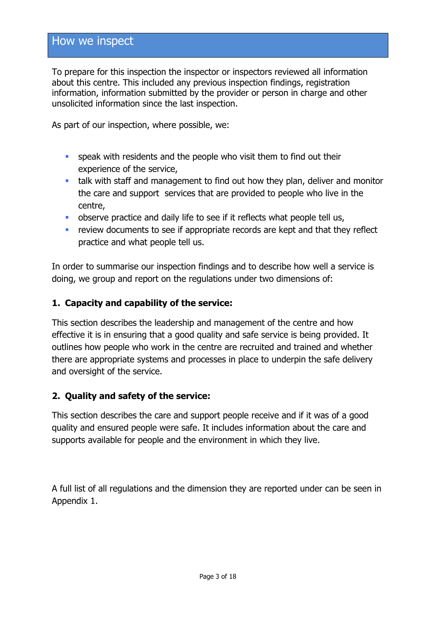## How we inspect

To prepare for this inspection the inspector or inspectors reviewed all information about this centre. This included any previous inspection findings, registration information, information submitted by the provider or person in charge and other unsolicited information since the last inspection.

As part of our inspection, where possible, we:

- **speak with residents and the people who visit them to find out their** experience of the service,
- talk with staff and management to find out how they plan, deliver and monitor the care and support services that are provided to people who live in the centre,
- **•** observe practice and daily life to see if it reflects what people tell us,
- review documents to see if appropriate records are kept and that they reflect practice and what people tell us.

In order to summarise our inspection findings and to describe how well a service is doing, we group and report on the regulations under two dimensions of:

#### **1. Capacity and capability of the service:**

This section describes the leadership and management of the centre and how effective it is in ensuring that a good quality and safe service is being provided. It outlines how people who work in the centre are recruited and trained and whether there are appropriate systems and processes in place to underpin the safe delivery and oversight of the service.

#### **2. Quality and safety of the service:**

This section describes the care and support people receive and if it was of a good quality and ensured people were safe. It includes information about the care and supports available for people and the environment in which they live.

A full list of all regulations and the dimension they are reported under can be seen in Appendix 1.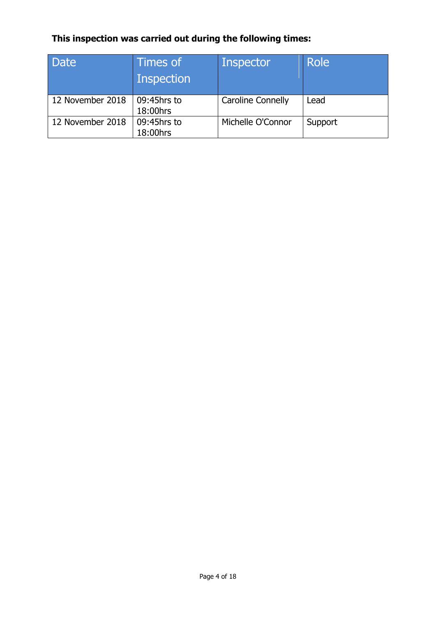## **This inspection was carried out during the following times:**

| Date             | Times of<br>Inspection  | <b>Inspector</b>         | Role    |
|------------------|-------------------------|--------------------------|---------|
| 12 November 2018 | 09:45hrs to<br>18:00hrs | <b>Caroline Connelly</b> | Lead    |
| 12 November 2018 | 09:45hrs to<br>18:00hrs | Michelle O'Connor        | Support |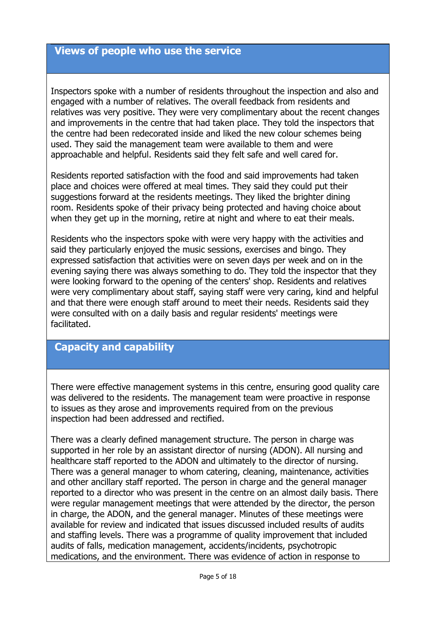#### **Views of people who use the service**

Inspectors spoke with a number of residents throughout the inspection and also and engaged with a number of relatives. The overall feedback from residents and relatives was very positive. They were very complimentary about the recent changes and improvements in the centre that had taken place. They told the inspectors that the centre had been redecorated inside and liked the new colour schemes being used. They said the management team were available to them and were approachable and helpful. Residents said they felt safe and well cared for.

Residents reported satisfaction with the food and said improvements had taken place and choices were offered at meal times. They said they could put their suggestions forward at the residents meetings. They liked the brighter dining room. Residents spoke of their privacy being protected and having choice about when they get up in the morning, retire at night and where to eat their meals.

Residents who the inspectors spoke with were very happy with the activities and said they particularly enjoyed the music sessions, exercises and bingo. They expressed satisfaction that activities were on seven days per week and on in the evening saying there was always something to do. They told the inspector that they were looking forward to the opening of the centers' shop. Residents and relatives were very complimentary about staff, saying staff were very caring, kind and helpful and that there were enough staff around to meet their needs. Residents said they were consulted with on a daily basis and regular residents' meetings were facilitated.

#### **Capacity and capability**

There were effective management systems in this centre, ensuring good quality care was delivered to the residents. The management team were proactive in response to issues as they arose and improvements required from on the previous inspection had been addressed and rectified.

There was a clearly defined management structure. The person in charge was supported in her role by an assistant director of nursing (ADON). All nursing and healthcare staff reported to the ADON and ultimately to the director of nursing. There was a general manager to whom catering, cleaning, maintenance, activities and other ancillary staff reported. The person in charge and the general manager reported to a director who was present in the centre on an almost daily basis. There were regular management meetings that were attended by the director, the person in charge, the ADON, and the general manager. Minutes of these meetings were available for review and indicated that issues discussed included results of audits and staffing levels. There was a programme of quality improvement that included audits of falls, medication management, accidents/incidents, psychotropic medications, and the environment. There was evidence of action in response to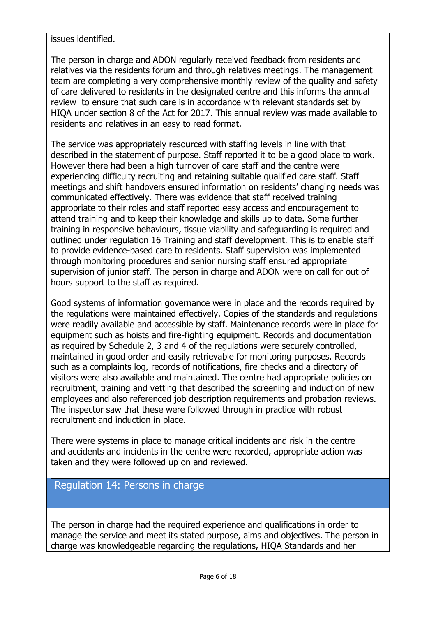issues identified.

The person in charge and ADON regularly received feedback from residents and relatives via the residents forum and through relatives meetings. The management team are completing a very comprehensive monthly review of the quality and safety of care delivered to residents in the designated centre and this informs the annual review to ensure that such care is in accordance with relevant standards set by HIQA under section 8 of the Act for 2017. This annual review was made available to residents and relatives in an easy to read format.

The service was appropriately resourced with staffing levels in line with that described in the statement of purpose. Staff reported it to be a good place to work. However there had been a high turnover of care staff and the centre were experiencing difficulty recruiting and retaining suitable qualified care staff. Staff meetings and shift handovers ensured information on residents' changing needs was communicated effectively. There was evidence that staff received training appropriate to their roles and staff reported easy access and encouragement to attend training and to keep their knowledge and skills up to date. Some further training in responsive behaviours, tissue viability and safeguarding is required and outlined under regulation 16 Training and staff development. This is to enable staff to provide evidence-based care to residents. Staff supervision was implemented through monitoring procedures and senior nursing staff ensured appropriate supervision of junior staff. The person in charge and ADON were on call for out of hours support to the staff as required.

Good systems of information governance were in place and the records required by the regulations were maintained effectively. Copies of the standards and regulations were readily available and accessible by staff. Maintenance records were in place for equipment such as hoists and fire-fighting equipment. Records and documentation as required by Schedule 2, 3 and 4 of the regulations were securely controlled, maintained in good order and easily retrievable for monitoring purposes. Records such as a complaints log, records of notifications, fire checks and a directory of visitors were also available and maintained. The centre had appropriate policies on recruitment, training and vetting that described the screening and induction of new employees and also referenced job description requirements and probation reviews. The inspector saw that these were followed through in practice with robust recruitment and induction in place.

There were systems in place to manage critical incidents and risk in the centre and accidents and incidents in the centre were recorded, appropriate action was taken and they were followed up on and reviewed.

#### Regulation 14: Persons in charge

The person in charge had the required experience and qualifications in order to manage the service and meet its stated purpose, aims and objectives. The person in charge was knowledgeable regarding the regulations, HIQA Standards and her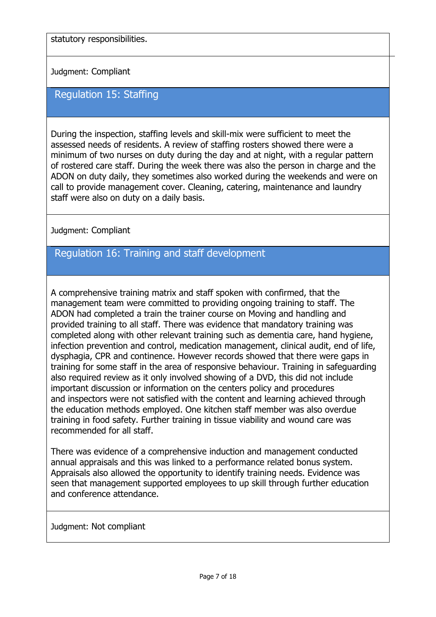statutory responsibilities.

Judgment: Compliant

### Regulation 15: Staffing

During the inspection, staffing levels and skill-mix were sufficient to meet the assessed needs of residents. A review of staffing rosters showed there were a minimum of two nurses on duty during the day and at night, with a regular pattern of rostered care staff. During the week there was also the person in charge and the ADON on duty daily, they sometimes also worked during the weekends and were on call to provide management cover. Cleaning, catering, maintenance and laundry staff were also on duty on a daily basis.

Judgment: Compliant

#### Regulation 16: Training and staff development

A comprehensive training matrix and staff spoken with confirmed, that the management team were committed to providing ongoing training to staff. The ADON had completed a train the trainer course on Moving and handling and provided training to all staff. There was evidence that mandatory training was completed along with other relevant training such as dementia care, hand hygiene, infection prevention and control, medication management, clinical audit, end of life, dysphagia, CPR and continence. However records showed that there were gaps in training for some staff in the area of responsive behaviour. Training in safeguarding also required review as it only involved showing of a DVD, this did not include important discussion or information on the centers policy and procedures and inspectors were not satisfied with the content and learning achieved through the education methods employed. One kitchen staff member was also overdue training in food safety. Further training in tissue viability and wound care was recommended for all staff.

There was evidence of a comprehensive induction and management conducted annual appraisals and this was linked to a performance related bonus system. Appraisals also allowed the opportunity to identify training needs. Evidence was seen that management supported employees to up skill through further education and conference attendance.

Judgment: Not compliant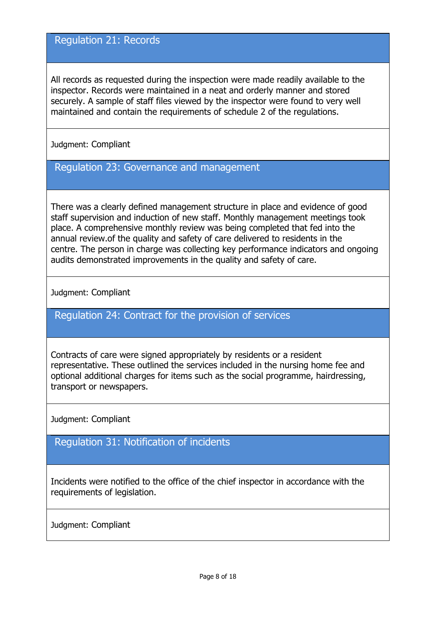#### Regulation 21: Records

All records as requested during the inspection were made readily available to the inspector. Records were maintained in a neat and orderly manner and stored securely. A sample of staff files viewed by the inspector were found to very well maintained and contain the requirements of schedule 2 of the regulations.

#### Judgment: Compliant

#### Regulation 23: Governance and management

There was a clearly defined management structure in place and evidence of good staff supervision and induction of new staff. Monthly management meetings took place. A comprehensive monthly review was being completed that fed into the annual review.of the quality and safety of care delivered to residents in the centre. The person in charge was collecting key performance indicators and ongoing audits demonstrated improvements in the quality and safety of care.

Judgment: Compliant

Regulation 24: Contract for the provision of services

Contracts of care were signed appropriately by residents or a resident representative. These outlined the services included in the nursing home fee and optional additional charges for items such as the social programme, hairdressing, transport or newspapers.

Judgment: Compliant

Regulation 31: Notification of incidents

Incidents were notified to the office of the chief inspector in accordance with the requirements of legislation.

Judgment: Compliant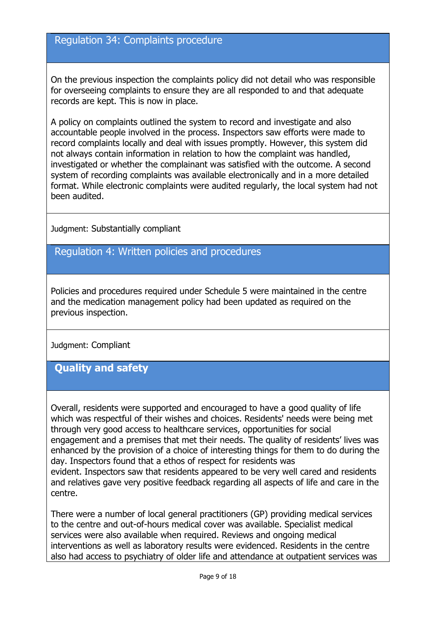#### Regulation 34: Complaints procedure

On the previous inspection the complaints policy did not detail who was responsible for overseeing complaints to ensure they are all responded to and that adequate records are kept. This is now in place.

A policy on complaints outlined the system to record and investigate and also accountable people involved in the process. Inspectors saw efforts were made to record complaints locally and deal with issues promptly. However, this system did not always contain information in relation to how the complaint was handled, investigated or whether the complainant was satisfied with the outcome. A second system of recording complaints was available electronically and in a more detailed format. While electronic complaints were audited regularly, the local system had not been audited.

Judgment: Substantially compliant

Regulation 4: Written policies and procedures

Policies and procedures required under Schedule 5 were maintained in the centre and the medication management policy had been updated as required on the previous inspection.

Judgment: Compliant

#### **Quality and safety**

Overall, residents were supported and encouraged to have a good quality of life which was respectful of their wishes and choices. Residents' needs were being met through very good access to healthcare services, opportunities for social engagement and a premises that met their needs. The quality of residents' lives was enhanced by the provision of a choice of interesting things for them to do during the day. Inspectors found that a ethos of respect for residents was evident. Inspectors saw that residents appeared to be very well cared and residents and relatives gave very positive feedback regarding all aspects of life and care in the centre.

There were a number of local general practitioners (GP) providing medical services to the centre and out-of-hours medical cover was available. Specialist medical services were also available when required. Reviews and ongoing medical interventions as well as laboratory results were evidenced. Residents in the centre also had access to psychiatry of older life and attendance at outpatient services was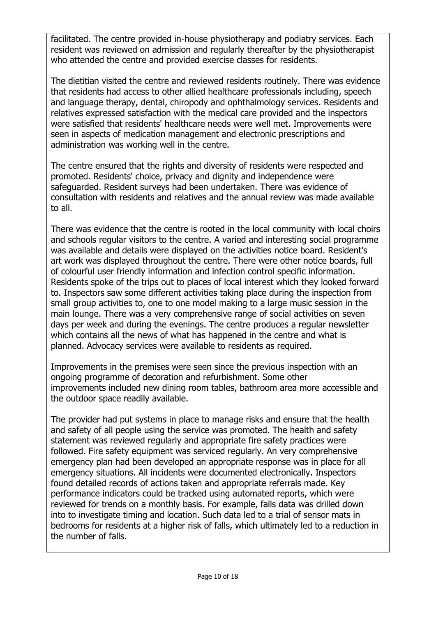facilitated. The centre provided in-house physiotherapy and podiatry services. Each resident was reviewed on admission and regularly thereafter by the physiotherapist who attended the centre and provided exercise classes for residents.

The dietitian visited the centre and reviewed residents routinely. There was evidence that residents had access to other allied healthcare professionals including, speech and language therapy, dental, chiropody and ophthalmology services. Residents and relatives expressed satisfaction with the medical care provided and the inspectors were satisfied that residents' healthcare needs were well met. Improvements were seen in aspects of medication management and electronic prescriptions and administration was working well in the centre.

The centre ensured that the rights and diversity of residents were respected and promoted. Residents' choice, privacy and dignity and independence were safeguarded. Resident surveys had been undertaken. There was evidence of consultation with residents and relatives and the annual review was made available to all.

There was evidence that the centre is rooted in the local community with local choirs and schools regular visitors to the centre. A varied and interesting social programme was available and details were displayed on the activities notice board. Resident's art work was displayed throughout the centre. There were other notice boards, full of colourful user friendly information and infection control specific information. Residents spoke of the trips out to places of local interest which they looked forward to. Inspectors saw some different activities taking place during the inspection from small group activities to, one to one model making to a large music session in the main lounge. There was a very comprehensive range of social activities on seven days per week and during the evenings. The centre produces a regular newsletter which contains all the news of what has happened in the centre and what is planned. Advocacy services were available to residents as required.

Improvements in the premises were seen since the previous inspection with an ongoing programme of decoration and refurbishment. Some other improvements included new dining room tables, bathroom area more accessible and the outdoor space readily available.

The provider had put systems in place to manage risks and ensure that the health and safety of all people using the service was promoted. The health and safety statement was reviewed regularly and appropriate fire safety practices were followed. Fire safety equipment was serviced regularly. An very comprehensive emergency plan had been developed an appropriate response was in place for all emergency situations. All incidents were documented electronically. Inspectors found detailed records of actions taken and appropriate referrals made. Key performance indicators could be tracked using automated reports, which were reviewed for trends on a monthly basis. For example, falls data was drilled down into to investigate timing and location. Such data led to a trial of sensor mats in bedrooms for residents at a higher risk of falls, which ultimately led to a reduction in the number of falls.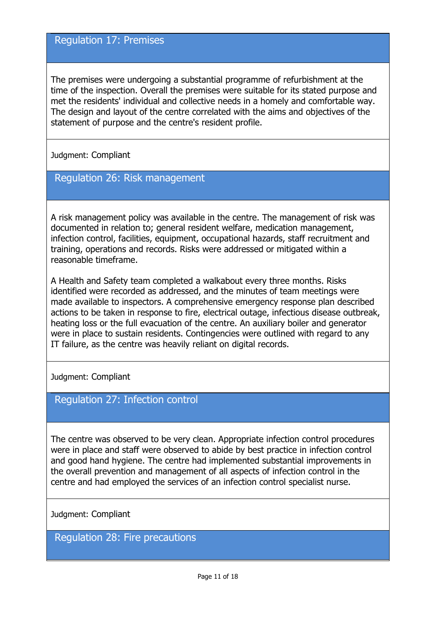#### Regulation 17: Premises

The premises were undergoing a substantial programme of refurbishment at the time of the inspection. Overall the premises were suitable for its stated purpose and met the residents' individual and collective needs in a homely and comfortable way. The design and layout of the centre correlated with the aims and objectives of the statement of purpose and the centre's resident profile.

Judgment: Compliant

## Regulation 26: Risk management

A risk management policy was available in the centre. The management of risk was documented in relation to; general resident welfare, medication management, infection control, facilities, equipment, occupational hazards, staff recruitment and training, operations and records. Risks were addressed or mitigated within a reasonable timeframe.

A Health and Safety team completed a walkabout every three months. Risks identified were recorded as addressed, and the minutes of team meetings were made available to inspectors. A comprehensive emergency response plan described actions to be taken in response to fire, electrical outage, infectious disease outbreak, heating loss or the full evacuation of the centre. An auxiliary boiler and generator were in place to sustain residents. Contingencies were outlined with regard to any IT failure, as the centre was heavily reliant on digital records.

Judgment: Compliant

#### Regulation 27: Infection control

The centre was observed to be very clean. Appropriate infection control procedures were in place and staff were observed to abide by best practice in infection control and good hand hygiene. The centre had implemented substantial improvements in the overall prevention and management of all aspects of infection control in the centre and had employed the services of an infection control specialist nurse.

Judgment: Compliant

Regulation 28: Fire precautions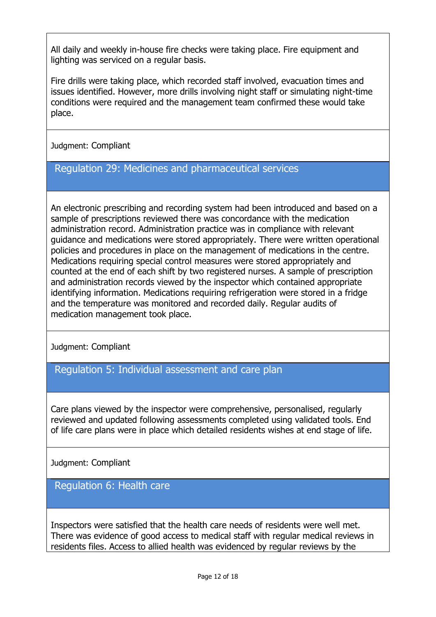All daily and weekly in-house fire checks were taking place. Fire equipment and lighting was serviced on a regular basis.

Fire drills were taking place, which recorded staff involved, evacuation times and issues identified. However, more drills involving night staff or simulating night-time conditions were required and the management team confirmed these would take place.

Judgment: Compliant

#### Regulation 29: Medicines and pharmaceutical services

An electronic prescribing and recording system had been introduced and based on a sample of prescriptions reviewed there was concordance with the medication administration record. Administration practice was in compliance with relevant guidance and medications were stored appropriately. There were written operational policies and procedures in place on the management of medications in the centre. Medications requiring special control measures were stored appropriately and counted at the end of each shift by two registered nurses. A sample of prescription and administration records viewed by the inspector which contained appropriate identifying information. Medications requiring refrigeration were stored in a fridge and the temperature was monitored and recorded daily. Regular audits of medication management took place.

Judgment: Compliant

# Regulation 5: Individual assessment and care plan

Care plans viewed by the inspector were comprehensive, personalised, regularly reviewed and updated following assessments completed using validated tools. End of life care plans were in place which detailed residents wishes at end stage of life.

Judgment: Compliant

Regulation 6: Health care

Inspectors were satisfied that the health care needs of residents were well met. There was evidence of good access to medical staff with regular medical reviews in residents files. Access to allied health was evidenced by regular reviews by the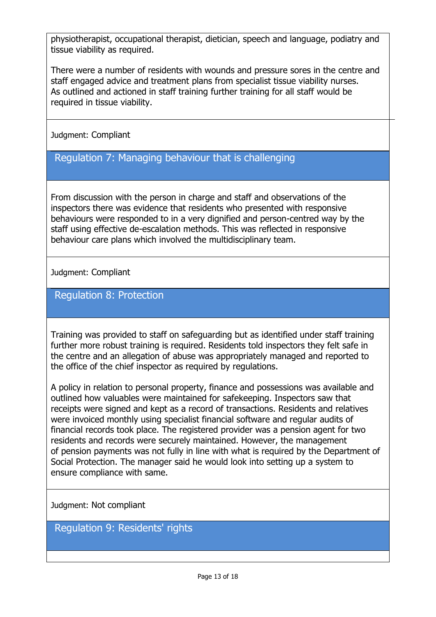physiotherapist, occupational therapist, dietician, speech and language, podiatry and tissue viability as required.

There were a number of residents with wounds and pressure sores in the centre and staff engaged advice and treatment plans from specialist tissue viability nurses. As outlined and actioned in staff training further training for all staff would be required in tissue viability.

Judgment: Compliant

## Regulation 7: Managing behaviour that is challenging

From discussion with the person in charge and staff and observations of the inspectors there was evidence that residents who presented with responsive behaviours were responded to in a very dignified and person-centred way by the staff using effective de-escalation methods. This was reflected in responsive behaviour care plans which involved the multidisciplinary team.

Judgment: Compliant

#### Regulation 8: Protection

Training was provided to staff on safeguarding but as identified under staff training further more robust training is required. Residents told inspectors they felt safe in the centre and an allegation of abuse was appropriately managed and reported to the office of the chief inspector as required by regulations.

A policy in relation to personal property, finance and possessions was available and outlined how valuables were maintained for safekeeping. Inspectors saw that receipts were signed and kept as a record of transactions. Residents and relatives were invoiced monthly using specialist financial software and regular audits of financial records took place. The registered provider was a pension agent for two residents and records were securely maintained. However, the management of pension payments was not fully in line with what is required by the Department of Social Protection. The manager said he would look into setting up a system to ensure compliance with same.

Judgment: Not compliant

Regulation 9: Residents' rights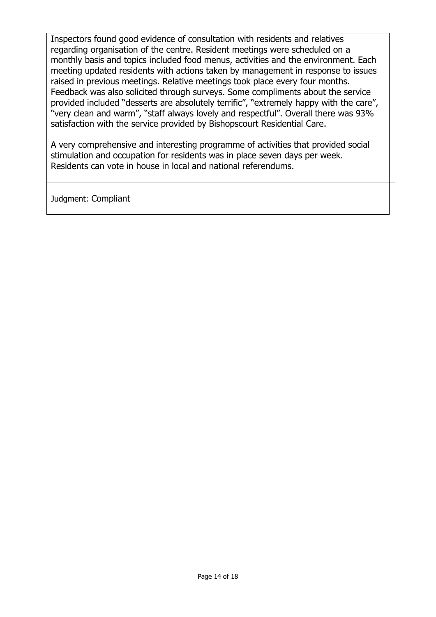Inspectors found good evidence of consultation with residents and relatives regarding organisation of the centre. Resident meetings were scheduled on a monthly basis and topics included food menus, activities and the environment. Each meeting updated residents with actions taken by management in response to issues raised in previous meetings. Relative meetings took place every four months. Feedback was also solicited through surveys. Some compliments about the service provided included "desserts are absolutely terrific", "extremely happy with the care", "very clean and warm", "staff always lovely and respectful". Overall there was 93% satisfaction with the service provided by Bishopscourt Residential Care.

A very comprehensive and interesting programme of activities that provided social stimulation and occupation for residents was in place seven days per week. Residents can vote in house in local and national referendums.

Judgment: Compliant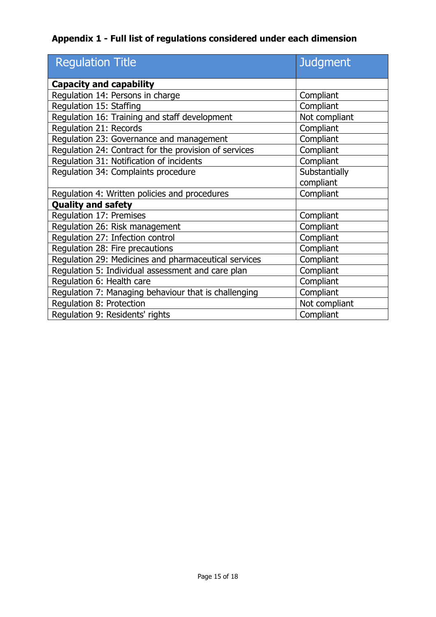## **Appendix 1 - Full list of regulations considered under each dimension**

| <b>Regulation Title</b>                               | <b>Judgment</b> |  |
|-------------------------------------------------------|-----------------|--|
| <b>Capacity and capability</b>                        |                 |  |
| Regulation 14: Persons in charge                      | Compliant       |  |
| Regulation 15: Staffing                               | Compliant       |  |
| Regulation 16: Training and staff development         | Not compliant   |  |
| Regulation 21: Records                                | Compliant       |  |
| Regulation 23: Governance and management              | Compliant       |  |
| Regulation 24: Contract for the provision of services | Compliant       |  |
| Regulation 31: Notification of incidents              | Compliant       |  |
| Regulation 34: Complaints procedure                   | Substantially   |  |
|                                                       | compliant       |  |
| Regulation 4: Written policies and procedures         | Compliant       |  |
| <b>Quality and safety</b>                             |                 |  |
| Regulation 17: Premises                               | Compliant       |  |
| Regulation 26: Risk management                        | Compliant       |  |
| Regulation 27: Infection control                      | Compliant       |  |
| Regulation 28: Fire precautions                       | Compliant       |  |
| Regulation 29: Medicines and pharmaceutical services  | Compliant       |  |
| Regulation 5: Individual assessment and care plan     | Compliant       |  |
| Regulation 6: Health care                             | Compliant       |  |
| Regulation 7: Managing behaviour that is challenging  | Compliant       |  |
| Regulation 8: Protection                              | Not compliant   |  |
| Regulation 9: Residents' rights                       | Compliant       |  |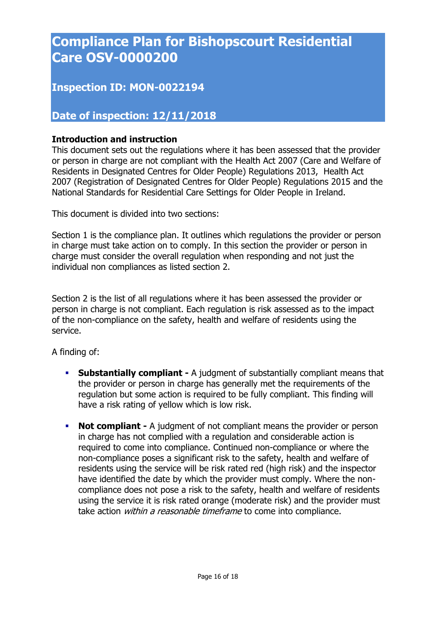# **Compliance Plan for Bishopscourt Residential Care OSV-0000200**

## **Inspection ID: MON-0022194**

#### **Date of inspection: 12/11/2018**

#### **Introduction and instruction**

This document sets out the regulations where it has been assessed that the provider or person in charge are not compliant with the Health Act 2007 (Care and Welfare of Residents in Designated Centres for Older People) Regulations 2013, Health Act 2007 (Registration of Designated Centres for Older People) Regulations 2015 and the National Standards for Residential Care Settings for Older People in Ireland.

This document is divided into two sections:

Section 1 is the compliance plan. It outlines which regulations the provider or person in charge must take action on to comply. In this section the provider or person in charge must consider the overall regulation when responding and not just the individual non compliances as listed section 2.

Section 2 is the list of all regulations where it has been assessed the provider or person in charge is not compliant. Each regulation is risk assessed as to the impact of the non-compliance on the safety, health and welfare of residents using the service.

A finding of:

- **Substantially compliant -** A judgment of substantially compliant means that the provider or person in charge has generally met the requirements of the regulation but some action is required to be fully compliant. This finding will have a risk rating of yellow which is low risk.
- **Not compliant -** A judgment of not compliant means the provider or person in charge has not complied with a regulation and considerable action is required to come into compliance. Continued non-compliance or where the non-compliance poses a significant risk to the safety, health and welfare of residents using the service will be risk rated red (high risk) and the inspector have identified the date by which the provider must comply. Where the noncompliance does not pose a risk to the safety, health and welfare of residents using the service it is risk rated orange (moderate risk) and the provider must take action *within a reasonable timeframe* to come into compliance.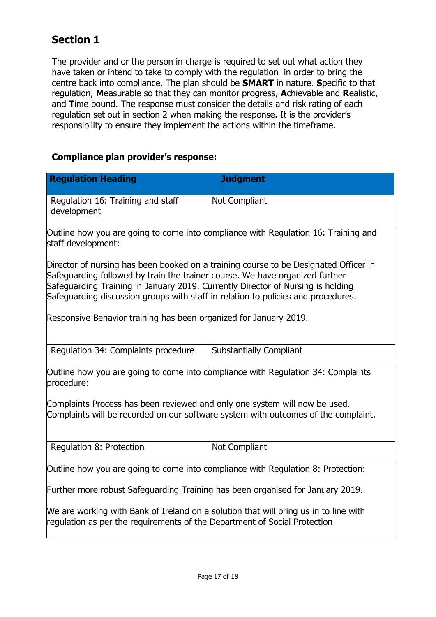## **Section 1**

The provider and or the person in charge is required to set out what action they have taken or intend to take to comply with the regulation in order to bring the centre back into compliance. The plan should be **SMART** in nature. **S**pecific to that regulation, **M**easurable so that they can monitor progress, **A**chievable and **R**ealistic, and **T**ime bound. The response must consider the details and risk rating of each regulation set out in section 2 when making the response. It is the provider's responsibility to ensure they implement the actions within the timeframe.

#### **Compliance plan provider's response:**

| <b>Regulation Heading</b>                                                                                                                                                                                                                                                                                                                                                                                         | <b>Judgment</b>                |  |  |  |
|-------------------------------------------------------------------------------------------------------------------------------------------------------------------------------------------------------------------------------------------------------------------------------------------------------------------------------------------------------------------------------------------------------------------|--------------------------------|--|--|--|
| Regulation 16: Training and staff<br>development                                                                                                                                                                                                                                                                                                                                                                  | Not Compliant                  |  |  |  |
| Outline how you are going to come into compliance with Regulation 16: Training and<br>staff development:                                                                                                                                                                                                                                                                                                          |                                |  |  |  |
| Director of nursing has been booked on a training course to be Designated Officer in<br>Safeguarding followed by train the trainer course. We have organized further<br>Safeguarding Training in January 2019. Currently Director of Nursing is holding<br>Safeguarding discussion groups with staff in relation to policies and procedures.<br>Responsive Behavior training has been organized for January 2019. |                                |  |  |  |
| Regulation 34: Complaints procedure                                                                                                                                                                                                                                                                                                                                                                               | <b>Substantially Compliant</b> |  |  |  |
| Outline how you are going to come into compliance with Regulation 34: Complaints<br>procedure:                                                                                                                                                                                                                                                                                                                    |                                |  |  |  |
| Complaints Process has been reviewed and only one system will now be used.<br>Complaints will be recorded on our software system with outcomes of the complaint.                                                                                                                                                                                                                                                  |                                |  |  |  |
| Regulation 8: Protection                                                                                                                                                                                                                                                                                                                                                                                          | Not Compliant                  |  |  |  |
| Outline how you are going to come into compliance with Regulation 8: Protection:                                                                                                                                                                                                                                                                                                                                  |                                |  |  |  |
| Further more robust Safeguarding Training has been organised for January 2019.                                                                                                                                                                                                                                                                                                                                    |                                |  |  |  |
| We are working with Bank of Ireland on a solution that will bring us in to line with<br>regulation as per the requirements of the Department of Social Protection                                                                                                                                                                                                                                                 |                                |  |  |  |